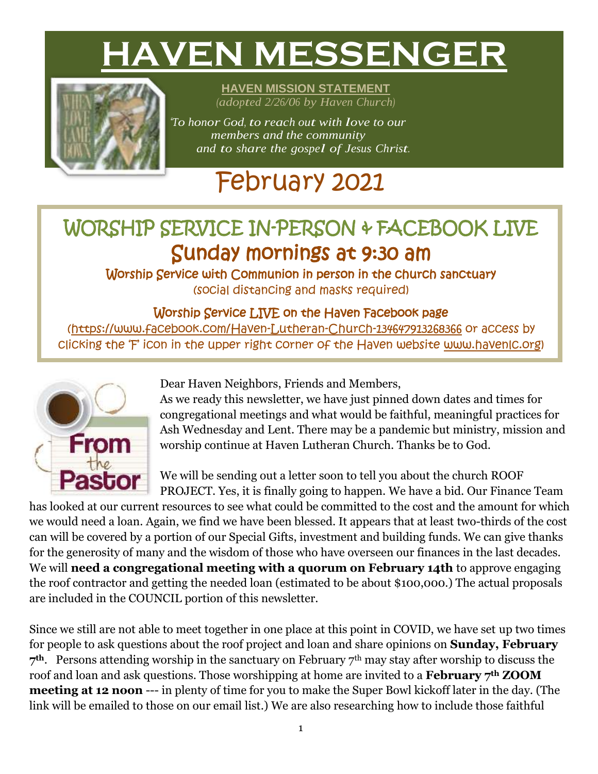# **HAVEN MESSENGER**



**HAVEN MISSION STATEMENT** *(adopted 2/26/06 by Haven Church)*

*"To honor God, to reach out with love to our members and the community and to share the gospel of Jesus Christ.*

# February 2021

## WORSHIP SERVICE IN-PERSON & FACEBOOK LIVE Sunday mornings at 9:30 am

Worship Service with Communion in person in the church sanctuary (social distancing and masks required)

#### Worship Service LIVE on the Haven Facebook page

[\(https://www.facebook.com/Haven-Lutheran-Church-134647913268366](https://www.facebook.com/Haven-Lutheran-Church-134647913268366) or access by clicking the 'F' icon in the upper right corner of the Haven website [www.havenlc.org\)](http://www.havenlc.org/)



Dear Haven Neighbors, Friends and Members,

As we ready this newsletter, we have just pinned down dates and times for congregational meetings and what would be faithful, meaningful practices for Ash Wednesday and Lent. There may be a pandemic but ministry, mission and worship continue at Haven Lutheran Church. Thanks be to God.

We will be sending out a letter soon to tell you about the church ROOF PROJECT. Yes, it is finally going to happen. We have a bid. Our Finance Team

has looked at our current resources to see what could be committed to the cost and the amount for which we would need a loan. Again, we find we have been blessed. It appears that at least two-thirds of the cost can will be covered by a portion of our Special Gifts, investment and building funds. We can give thanks for the generosity of many and the wisdom of those who have overseen our finances in the last decades. We will **need a congregational meeting with a quorum on February 14th** to approve engaging the roof contractor and getting the needed loan (estimated to be about \$100,000.) The actual proposals are included in the COUNCIL portion of this newsletter.

Since we still are not able to meet together in one place at this point in COVID, we have set up two times for people to ask questions about the roof project and loan and share opinions on **Sunday, February 7th**. Persons attending worship in the sanctuary on February 7th may stay after worship to discuss the roof and loan and ask questions. Those worshipping at home are invited to a **February 7th ZOOM meeting at 12 noon** --- in plenty of time for you to make the Super Bowl kickoff later in the day. (The link will be emailed to those on our email list.) We are also researching how to include those faithful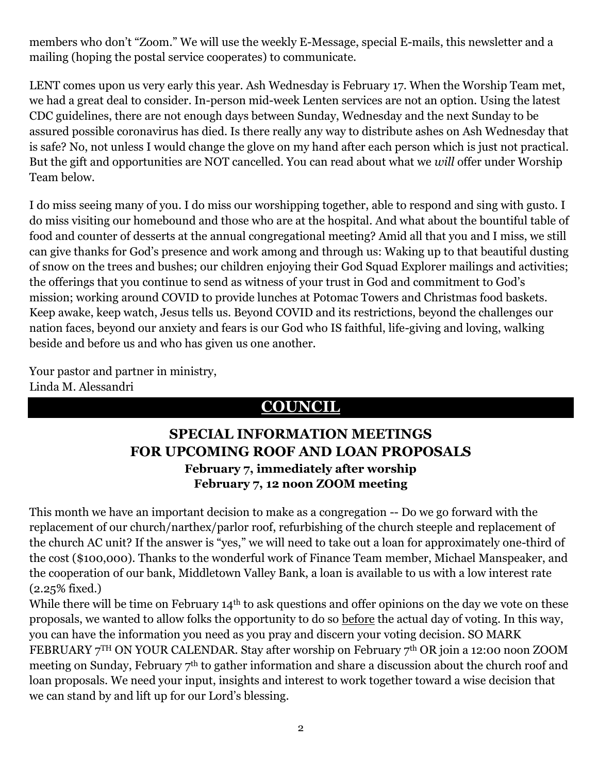members who don't "Zoom." We will use the weekly E-Message, special E-mails, this newsletter and a mailing (hoping the postal service cooperates) to communicate.

LENT comes upon us very early this year. Ash Wednesday is February 17. When the Worship Team met, we had a great deal to consider. In-person mid-week Lenten services are not an option. Using the latest CDC guidelines, there are not enough days between Sunday, Wednesday and the next Sunday to be assured possible coronavirus has died. Is there really any way to distribute ashes on Ash Wednesday that is safe? No, not unless I would change the glove on my hand after each person which is just not practical. But the gift and opportunities are NOT cancelled. You can read about what we *will* offer under Worship Team below.

I do miss seeing many of you. I do miss our worshipping together, able to respond and sing with gusto. I do miss visiting our homebound and those who are at the hospital. And what about the bountiful table of food and counter of desserts at the annual congregational meeting? Amid all that you and I miss, we still can give thanks for God's presence and work among and through us: Waking up to that beautiful dusting of snow on the trees and bushes; our children enjoying their God Squad Explorer mailings and activities; the offerings that you continue to send as witness of your trust in God and commitment to God's mission; working around COVID to provide lunches at Potomac Towers and Christmas food baskets. Keep awake, keep watch, Jesus tells us. Beyond COVID and its restrictions, beyond the challenges our nation faces, beyond our anxiety and fears is our God who IS faithful, life-giving and loving, walking beside and before us and who has given us one another.

Your pastor and partner in ministry, Linda M. Alessandri

#### **COUNCIL**

#### **SPECIAL INFORMATION MEETINGS FOR UPCOMING ROOF AND LOAN PROPOSALS February 7, immediately after worship February 7, 12 noon ZOOM meeting**

This month we have an important decision to make as a congregation -- Do we go forward with the replacement of our church/narthex/parlor roof, refurbishing of the church steeple and replacement of the church AC unit? If the answer is "yes," we will need to take out a loan for approximately one-third of the cost (\$100,000). Thanks to the wonderful work of Finance Team member, Michael Manspeaker, and the cooperation of our bank, Middletown Valley Bank, a loan is available to us with a low interest rate (2.25% fixed.)

While there will be time on February 14<sup>th</sup> to ask questions and offer opinions on the day we vote on these proposals, we wanted to allow folks the opportunity to do so before the actual day of voting. In this way, you can have the information you need as you pray and discern your voting decision. SO MARK FEBRUARY 7TH ON YOUR CALENDAR. Stay after worship on February 7th OR join a 12:00 noon ZOOM meeting on Sunday, February 7th to gather information and share a discussion about the church roof and loan proposals. We need your input, insights and interest to work together toward a wise decision that we can stand by and lift up for our Lord's blessing.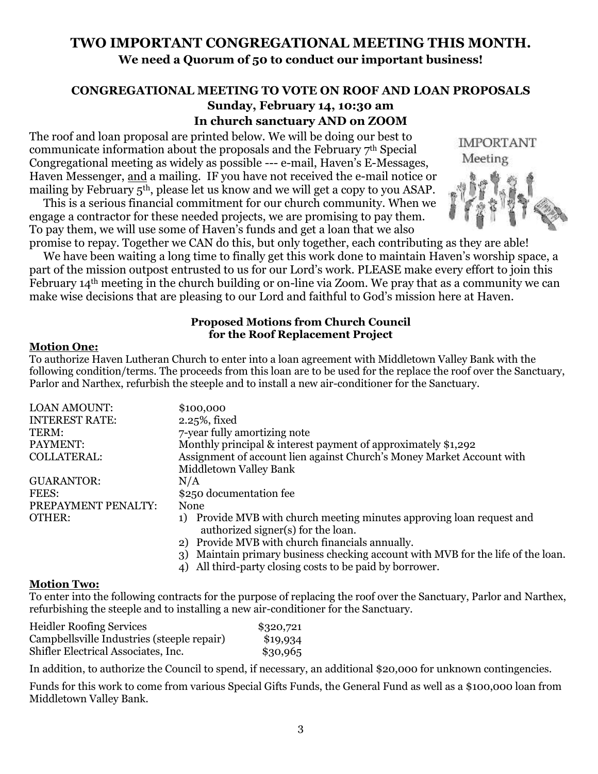#### **TWO IMPORTANT CONGREGATIONAL MEETING THIS MONTH. We need a Quorum of 50 to conduct our important business!**

#### **CONGREGATIONAL MEETING TO VOTE ON ROOF AND LOAN PROPOSALS Sunday, February 14, 10:30 am In church sanctuary AND on ZOOM**

The roof and loan proposal are printed below. We will be doing our best to communicate information about the proposals and the February 7th Special Congregational meeting as widely as possible --- e-mail, Haven's E-Messages, Haven Messenger, and a mailing. IF you have not received the e-mail notice or mailing by February 5th, please let us know and we will get a copy to you ASAP.

 This is a serious financial commitment for our church community. When we engage a contractor for these needed projects, we are promising to pay them. To pay them, we will use some of Haven's funds and get a loan that we also promise to repay. Together we CAN do this, but only together, each contributing as they are able!

 We have been waiting a long time to finally get this work done to maintain Haven's worship space, a part of the mission outpost entrusted to us for our Lord's work. PLEASE make every effort to join this February 14th meeting in the church building or on-line via Zoom. We pray that as a community we can make wise decisions that are pleasing to our Lord and faithful to God's mission here at Haven.

#### **Proposed Motions from Church Council for the Roof Replacement Project**

#### **Motion One:**

To authorize Haven Lutheran Church to enter into a loan agreement with Middletown Valley Bank with the following condition/terms. The proceeds from this loan are to be used for the replace the roof over the Sanctuary, Parlor and Narthex, refurbish the steeple and to install a new air-conditioner for the Sanctuary.

| <b>LOAN AMOUNT:</b>   | \$100,000                                                                                                   |
|-----------------------|-------------------------------------------------------------------------------------------------------------|
| <b>INTEREST RATE:</b> | 2.25%, fixed                                                                                                |
| TERM:                 | 7-year fully amortizing note                                                                                |
| PAYMENT:              | Monthly principal & interest payment of approximately \$1,292                                               |
| <b>COLLATERAL:</b>    | Assignment of account lien against Church's Money Market Account with                                       |
|                       | Middletown Valley Bank                                                                                      |
| <b>GUARANTOR:</b>     | N/A                                                                                                         |
| FEES:                 | \$250 documentation fee                                                                                     |
| PREPAYMENT PENALTY:   | None                                                                                                        |
| <b>OTHER:</b>         | 1) Provide MVB with church meeting minutes approving loan request and<br>authorized signer(s) for the loan. |
|                       | 2) Provide MVB with church financials annually.                                                             |
|                       | Maintain primary business checking account with MVB for the life of the loan.<br>3)                         |

#### 4) All third-party closing costs to be paid by borrower.

#### **Motion Two:**

To enter into the following contracts for the purpose of replacing the roof over the Sanctuary, Parlor and Narthex, refurbishing the steeple and to installing a new air-conditioner for the Sanctuary.

| <b>Heidler Roofing Services</b>            | \$320,721 |
|--------------------------------------------|-----------|
| Campbellsville Industries (steeple repair) | \$19,934  |
| Shifler Electrical Associates, Inc.        | \$30,965  |

In addition, to authorize the Council to spend, if necessary, an additional \$20,000 for unknown contingencies.

Funds for this work to come from various Special Gifts Funds, the General Fund as well as a \$100,000 loan from Middletown Valley Bank.

**IMPORTANT** Meeting

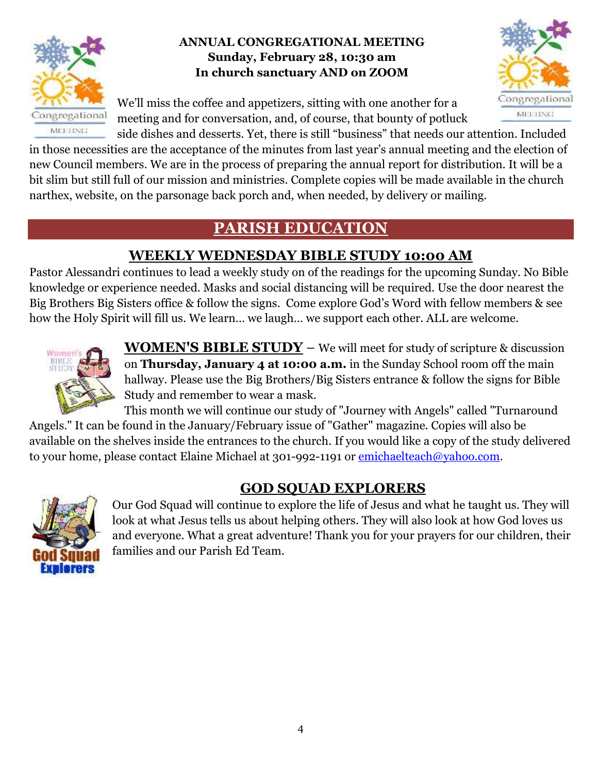

#### **ANNUAL CONGREGATIONAL MEETING Sunday, February 28, 10:30 am In church sanctuary AND on ZOOM**

We'll miss the coffee and appetizers, sitting with one another for a meeting and for conversation, and, of course, that bounty of potluck



side dishes and desserts. Yet, there is still "business" that needs our attention. Included in those necessities are the acceptance of the minutes from last year's annual meeting and the election of new Council members. We are in the process of preparing the annual report for distribution. It will be a bit slim but still full of our mission and ministries. Complete copies will be made available in the church narthex, website, on the parsonage back porch and, when needed, by delivery or mailing.

#### **PARISH EDUCATION**

#### **WEEKLY WEDNESDAY BIBLE STUDY 10:00 AM**

Pastor Alessandri continues to lead a weekly study on of the readings for the upcoming Sunday. No Bible knowledge or experience needed. Masks and social distancing will be required. Use the door nearest the Big Brothers Big Sisters office & follow the signs. Come explore God's Word with fellow members & see how the Holy Spirit will fill us. We learn… we laugh… we support each other. ALL are welcome.



**WOMEN'S BIBLE STUDY** – We will meet for study of scripture & discussion on **Thursday, January 4 at 10:00 a.m.** in the Sunday School room off the main hallway. Please use the Big Brothers/Big Sisters entrance & follow the signs for Bible Study and remember to wear a mask.

This month we will continue our study of "Journey with Angels" called "Turnaround Angels." It can be found in the January/February issue of "Gather" magazine. Copies will also be available on the shelves inside the entrances to the church. If you would like a copy of the study delivered to your home, please contact Elaine Michael at 301-992-1191 or [emichaelteach@yahoo.com.](mailto:emichaelteach@yahoo.com)

#### **GOD SQUAD EXPLORERS**



Our God Squad will continue to explore the life of Jesus and what he taught us. They will look at what Jesus tells us about helping others. They will also look at how God loves us and everyone. What a great adventure! Thank you for your prayers for our children, their families and our Parish Ed Team.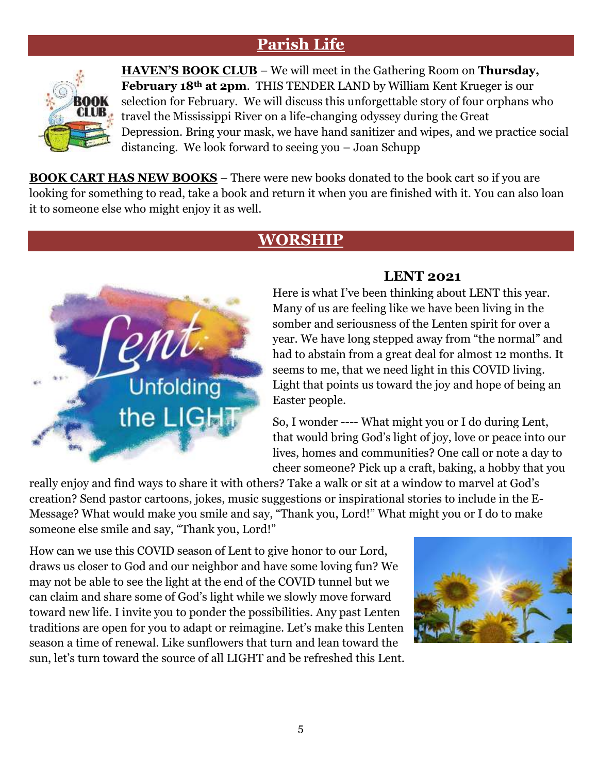#### **Parish Life**



**HAVEN'S BOOK CLUB** – We will meet in the Gathering Room on **Thursday, February 18th at 2pm**. THIS TENDER LAND by William Kent Krueger is our selection for February. We will discuss this unforgettable story of four orphans who travel the Mississippi River on a life-changing odyssey during the Great Depression. Bring your mask, we have hand sanitizer and wipes, and we practice social distancing. We look forward to seeing you – Joan Schupp

**BOOK CART HAS NEW BOOKS** – There were new books donated to the book cart so if you are looking for something to read, take a book and return it when you are finished with it. You can also loan it to someone else who might enjoy it as well.

#### **WORSHIP**



#### **LENT 2021**

Here is what I've been thinking about LENT this year. Many of us are feeling like we have been living in the somber and seriousness of the Lenten spirit for over a year. We have long stepped away from "the normal" and had to abstain from a great deal for almost 12 months. It seems to me, that we need light in this COVID living. Light that points us toward the joy and hope of being an Easter people.

So, I wonder ---- What might you or I do during Lent, that would bring God's light of joy, love or peace into our lives, homes and communities? One call or note a day to cheer someone? Pick up a craft, baking, a hobby that you

really enjoy and find ways to share it with others? Take a walk or sit at a window to marvel at God's creation? Send pastor cartoons, jokes, music suggestions or inspirational stories to include in the E-Message? What would make you smile and say, "Thank you, Lord!" What might you or I do to make someone else smile and say, "Thank you, Lord!"

How can we use this COVID season of Lent to give honor to our Lord, draws us closer to God and our neighbor and have some loving fun? We may not be able to see the light at the end of the COVID tunnel but we can claim and share some of God's light while we slowly move forward toward new life. I invite you to ponder the possibilities. Any past Lenten traditions are open for you to adapt or reimagine. Let's make this Lenten season a time of renewal. Like sunflowers that turn and lean toward the sun, let's turn toward the source of all LIGHT and be refreshed this Lent.

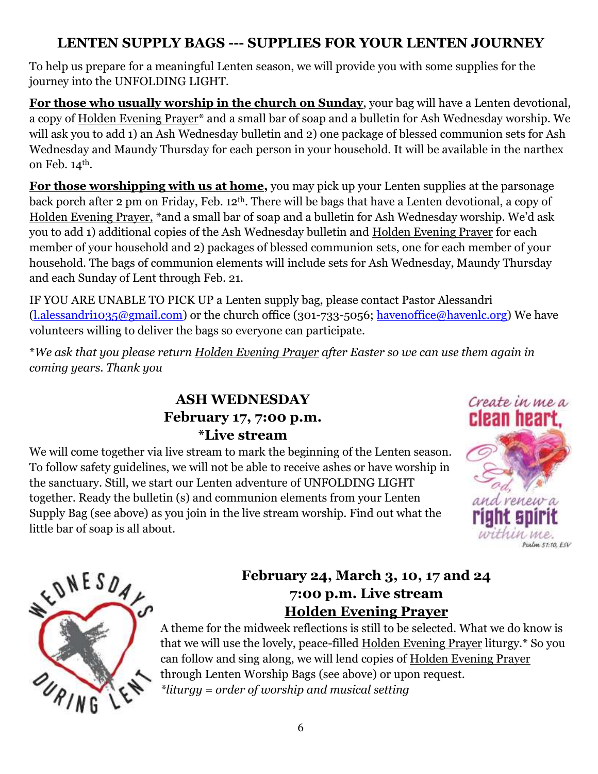#### **LENTEN SUPPLY BAGS --- SUPPLIES FOR YOUR LENTEN JOURNEY**

To help us prepare for a meaningful Lenten season, we will provide you with some supplies for the journey into the UNFOLDING LIGHT.

**For those who usually worship in the church on Sunday**, your bag will have a Lenten devotional, a copy of Holden Evening Prayer\* and a small bar of soap and a bulletin for Ash Wednesday worship. We will ask you to add 1) an Ash Wednesday bulletin and 2) one package of blessed communion sets for Ash Wednesday and Maundy Thursday for each person in your household. It will be available in the narthex on Feb. 14<sup>th</sup>.

**For those worshipping with us at home,** you may pick up your Lenten supplies at the parsonage back porch after 2 pm on Friday, Feb. 12th. There will be bags that have a Lenten devotional, a copy of Holden Evening Prayer, \*and a small bar of soap and a bulletin for Ash Wednesday worship. We'd ask you to add 1) additional copies of the Ash Wednesday bulletin and Holden Evening Prayer for each member of your household and 2) packages of blessed communion sets, one for each member of your household. The bags of communion elements will include sets for Ash Wednesday, Maundy Thursday and each Sunday of Lent through Feb. 21.

IF YOU ARE UNABLE TO PICK UP a Lenten supply bag, please contact Pastor Alessandri [\(l.alessandri1035@gmail.com\)](mailto:l.alessandri1035@gmail.com) or the church office (301-733-5056; [havenoffice@havenlc.org\)](mailto:havenoffice@havenlc.org) We have volunteers willing to deliver the bags so everyone can participate.

\**We ask that you please return Holden Evening Prayer after Easter so we can use them again in coming years. Thank you*

#### **ASH WEDNESDAY February 17, 7:00 p.m. \*Live stream**

We will come together via live stream to mark the beginning of the Lenten season. To follow safety guidelines, we will not be able to receive ashes or have worship in the sanctuary. Still, we start our Lenten adventure of UNFOLDING LIGHT together. Ready the bulletin (s) and communion elements from your Lenten Supply Bag (see above) as you join in the live stream worship. Find out what the little bar of soap is all about.





#### **February 24, March 3, 10, 17 and 24 7:00 p.m. Live stream Holden Evening Prayer**

A theme for the midweek reflections is still to be selected. What we do know is that we will use the lovely, peace-filled Holden Evening Prayer liturgy.\* So you can follow and sing along, we will lend copies of Holden Evening Prayer through Lenten Worship Bags (see above) or upon request. *\*liturgy = order of worship and musical setting*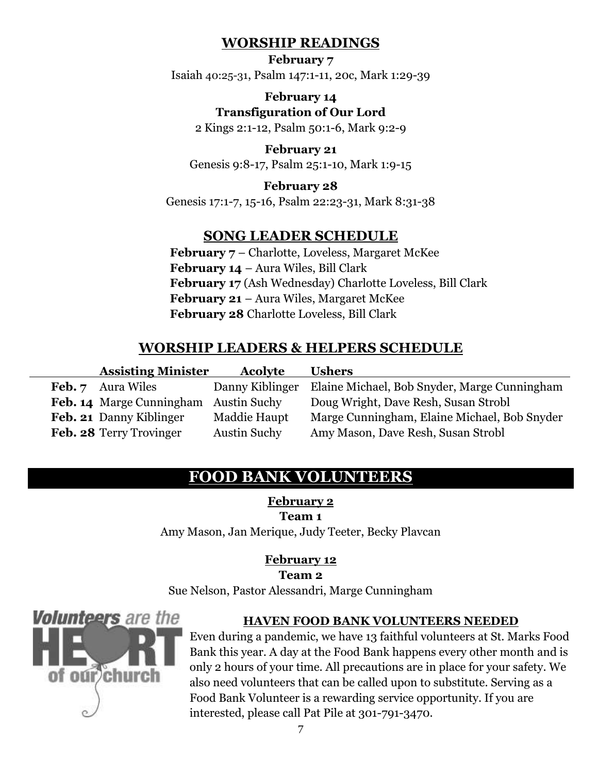#### **WORSHIP READINGS**

**February 7** Isaiah [40:25-31](https://members.sundaysandseasons.com/Home/Index/2021-2-7/0), [Psalm 147:1-11, 20c, Mark 1:29-39](https://members.sundaysandseasons.com/Home/Index/2021-2-7/0)

> **February 14 Transfiguration of Our Lord**

[2 Kings 2:1-12, Psalm 50:1-6, Mark 9:2-9](https://members.sundaysandseasons.com/Home/TextsAndResources/2021-2-14/2184)

**February 21** [Genesis 9:8-17, Psalm 25:1-10, Mark 1:9-15](https://members.sundaysandseasons.com/Home/TextsAndResources/2021-2-21/0)

#### **February 28**

[Genesis 17:1-7, 15-16, Psalm 22:23-31, Mark 8:31-38](https://members.sundaysandseasons.com/Home/TextsAndResources/2021-2-28/0)

#### **SONG LEADER SCHEDULE**

**February 7** – Charlotte, Loveless, Margaret McKee **February 14** – Aura Wiles, Bill Clark **February 17** (Ash Wednesday) Charlotte Loveless, Bill Clark **February 21** – Aura Wiles, Margaret McKee **February 28** Charlotte Loveless, Bill Clark

#### **WORSHIP LEADERS & HELPERS SCHEDULE**

| <b>Assisting Minister</b> | <b>Acolyte</b>      | <b>Ushers</b>                                |
|---------------------------|---------------------|----------------------------------------------|
| <b>Feb.</b> 7 Aura Wiles  | Danny Kiblinger     | Elaine Michael, Bob Snyder, Marge Cunningham |
| Feb. 14 Marge Cunningham  | <b>Austin Suchy</b> | Doug Wright, Dave Resh, Susan Strobl         |
| Feb. 21 Danny Kiblinger   | Maddie Haupt        | Marge Cunningham, Elaine Michael, Bob Snyder |
| Feb. 28 Terry Trovinger   | <b>Austin Suchy</b> | Amy Mason, Dave Resh, Susan Strobl           |

#### **FOOD BANK VOLUNTEERS**

**February 2**

**Team 1**

Amy Mason, Jan Merique, Judy Teeter, Becky Plavcan

#### **February 12**

**Team 2**

Sue Nelson, Pastor Alessandri, Marge Cunningham



#### **HAVEN FOOD BANK VOLUNTEERS NEEDED**

Even during a pandemic, we have 13 faithful volunteers at St. Marks Food Bank this year. A day at the Food Bank happens every other month and is only 2 hours of your time. All precautions are in place for your safety. We also need volunteers that can be called upon to substitute. Serving as a Food Bank Volunteer is a rewarding service opportunity. If you are interested, please call Pat Pile at 301-791-3470.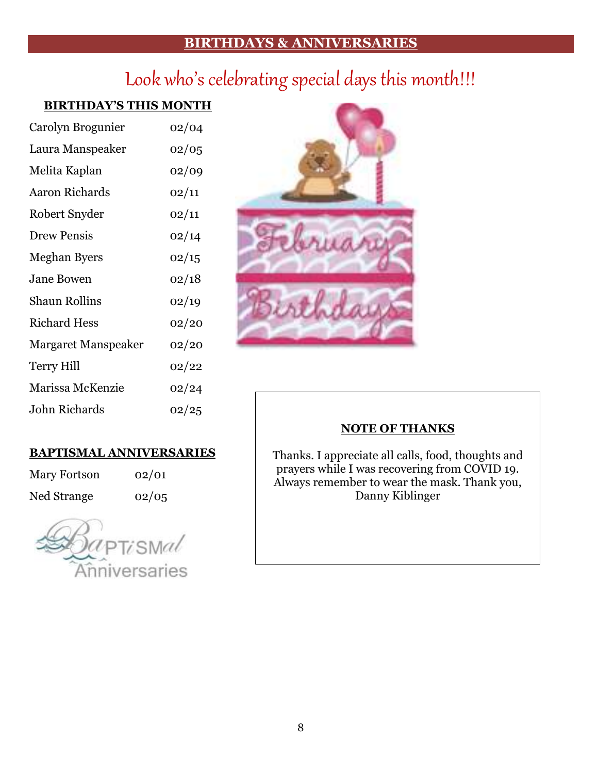#### **BIRTHDAYS & ANNIVERSARIES**

### Look who's celebrating special days this month!!!

#### **BIRTHDAY'S THIS MONTH**

| Carolyn Brogunier          | 02/04 |  |  |
|----------------------------|-------|--|--|
| Laura Manspeaker           | 02/05 |  |  |
| Melita Kaplan              | 02/09 |  |  |
| <b>Aaron Richards</b>      | 02/11 |  |  |
| Robert Snyder              | 02/11 |  |  |
| Drew Pensis                | 02/14 |  |  |
| <b>Meghan Byers</b>        | 02/15 |  |  |
| <b>Jane Bowen</b>          | 02/18 |  |  |
| Shaun Rollins              | 02/19 |  |  |
| <b>Richard Hess</b>        | 02/20 |  |  |
| <b>Margaret Manspeaker</b> | 02/20 |  |  |
| <b>Terry Hill</b>          | 02/22 |  |  |
| Marissa McKenzie           | 02/24 |  |  |
| John Richards              | 02/25 |  |  |

#### **NOTE OF THANKS**

Thanks. I appreciate all calls, food, thoughts and prayers while I was recovering from COVID 19. Always remember to wear the mask. Thank you, Danny Kiblinger

#### **BAPTISMAL ANNIVERSARIES**

Mary Fortson 02/01 Ned Strange  $02/05$ 

PTisMal Anniversaries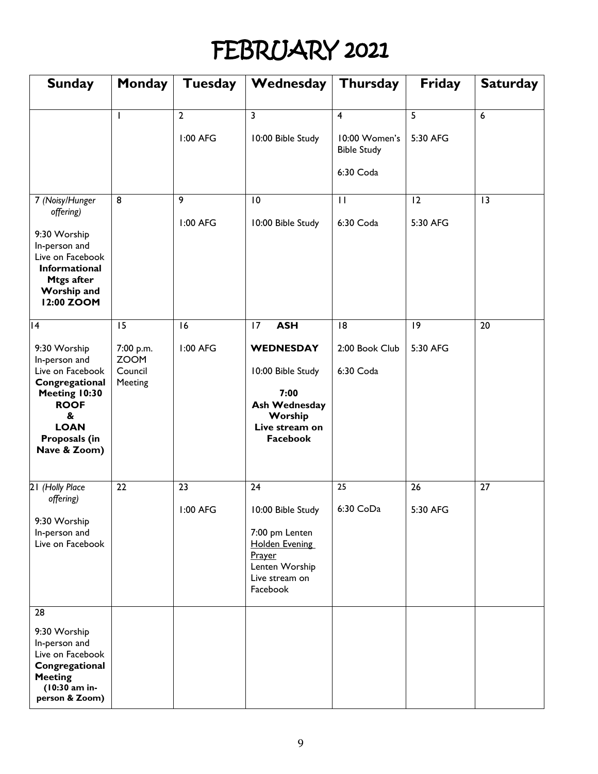# FEBRUARY 2021

| <b>Sunday</b>                                                                                                                            | Monday                            | Tuesday        | Wednesday                                                                                                              | <b>Thursday</b>                     | <b>Friday</b> | <b>Saturday</b> |
|------------------------------------------------------------------------------------------------------------------------------------------|-----------------------------------|----------------|------------------------------------------------------------------------------------------------------------------------|-------------------------------------|---------------|-----------------|
|                                                                                                                                          |                                   | $\overline{2}$ | 3                                                                                                                      | $\overline{4}$                      | 5             | $6\phantom{a}$  |
|                                                                                                                                          |                                   | 1:00 AFG       | 10:00 Bible Study                                                                                                      | 10:00 Women's<br><b>Bible Study</b> | 5:30 AFG      |                 |
|                                                                                                                                          |                                   |                |                                                                                                                        | 6:30 Coda                           |               |                 |
| 7 (Noisy/Hunger<br>offering)                                                                                                             | 8                                 | 9              | 10                                                                                                                     | $\mathbf{H}$                        | 12            | 3               |
| 9:30 Worship<br>In-person and<br>Live on Facebook<br><b>Informational</b><br><b>Mtgs after</b><br><b>Worship and</b><br>12:00 ZOOM       |                                   | 1:00 AFG       | 10:00 Bible Study                                                                                                      | 6:30 Coda                           | 5:30 AFG      |                 |
| 4                                                                                                                                        | 15                                | 16             | <b>ASH</b><br>17                                                                                                       | 8                                   | 9             | 20              |
| 9:30 Worship                                                                                                                             | 7:00 p.m.                         | 1:00 AFG       | <b>WEDNESDAY</b>                                                                                                       | 2:00 Book Club                      | 5:30 AFG      |                 |
| In-person and<br>Live on Facebook<br>Congregational<br>Meeting 10:30<br><b>ROOF</b><br>&<br><b>LOAN</b><br>Proposals (in<br>Nave & Zoom) | <b>ZOOM</b><br>Council<br>Meeting |                | 10:00 Bible Study<br>7:00<br><b>Ash Wednesday</b><br>Worship<br>Live stream on<br>Facebook                             | 6:30 Coda                           |               |                 |
| 21 (Holly Place                                                                                                                          | 22                                | 23             | 24                                                                                                                     | 25                                  | 26            | 27              |
| offering)<br>9:30 Worship<br>In-person and<br>Live on Facebook                                                                           |                                   | 1:00 AFG       | 10:00 Bible Study<br>7:00 pm Lenten<br><b>Holden Evening</b><br>Prayer<br>Lenten Worship<br>Live stream on<br>Facebook | 6:30 CoDa                           | 5:30 AFG      |                 |
| 28                                                                                                                                       |                                   |                |                                                                                                                        |                                     |               |                 |
| 9:30 Worship<br>In-person and<br>Live on Facebook<br>Congregational<br><b>Meeting</b><br>(10:30 am in-<br>person & Zoom)                 |                                   |                |                                                                                                                        |                                     |               |                 |